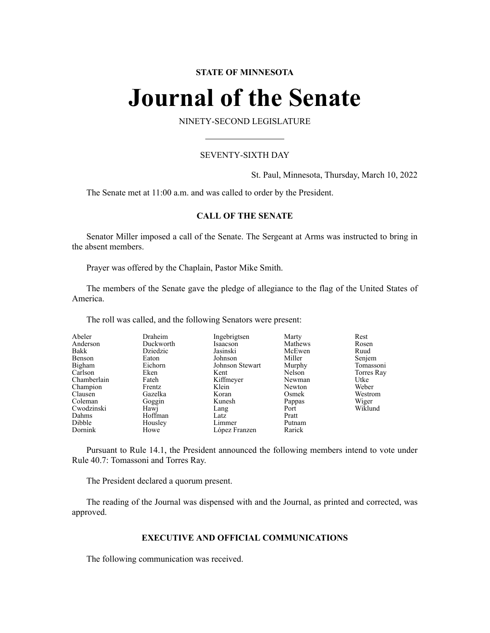# **STATE OF MINNESOTA**

# **Journal of the Senate**

NINETY-SECOND LEGISLATURE

# SEVENTY-SIXTH DAY

St. Paul, Minnesota, Thursday, March 10, 2022

The Senate met at 11:00 a.m. and was called to order by the President.

# **CALL OF THE SENATE**

Senator Miller imposed a call of the Senate. The Sergeant at Arms was instructed to bring in the absent members.

Prayer was offered by the Chaplain, Pastor Mike Smith.

The members of the Senate gave the pledge of allegiance to the flag of the United States of America.

The roll was called, and the following Senators were present:

| Abeler      | Draheim   | Ingebrigtsen    | Marty   | Rest       |
|-------------|-----------|-----------------|---------|------------|
| Anderson    | Duckworth | Isaacson        | Mathews | Rosen      |
| Bakk        | Dziedzic  | Jasinski        | McEwen  | Ruud       |
| Benson      | Eaton     | Johnson         | Miller  | Senjem     |
| Bigham      | Eichorn   | Johnson Stewart | Murphy  | Tomassoni  |
| Carlson     | Eken      | Kent            | Nelson  | Torres Ray |
| Chamberlain | Fateh     | Kiffmeyer       | Newman  | Utke       |
| Champion    | Frentz    | Klein           | Newton  | Weber      |
| Clausen     | Gazelka   | Koran           | Osmek   | Westrom    |
| Coleman     | Goggin    | Kunesh          | Pappas  | Wiger      |
| Cwodzinski  | Hawj      | Lang            | Port    | Wiklund    |
| Dahms       | Hoffman   | Latz            | Pratt   |            |
| Dibble      | Housley   | Limmer          | Putnam  |            |
| Dornink     | Howe      | López Franzen   | Rarick  |            |

Pursuant to Rule 14.1, the President announced the following members intend to vote under Rule 40.7: Tomassoni and Torres Ray.

The President declared a quorum present.

The reading of the Journal was dispensed with and the Journal, as printed and corrected, was approved.

# **EXECUTIVE AND OFFICIAL COMMUNICATIONS**

The following communication was received.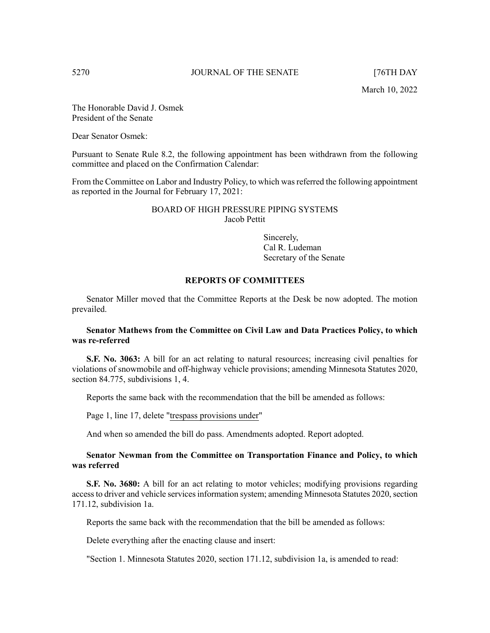The Honorable David J. Osmek President of the Senate

Dear Senator Osmek:

Pursuant to Senate Rule 8.2, the following appointment has been withdrawn from the following committee and placed on the Confirmation Calendar:

From the Committee on Labor and Industry Policy, to which was referred the following appointment as reported in the Journal for February 17, 2021:

# BOARD OF HIGH PRESSURE PIPING SYSTEMS Jacob Pettit

Sincerely, Cal R. Ludeman Secretary of the Senate

# **REPORTS OF COMMITTEES**

Senator Miller moved that the Committee Reports at the Desk be now adopted. The motion prevailed.

# **Senator Mathews from the Committee on Civil Law and Data Practices Policy, to which was re-referred**

**S.F. No. 3063:** A bill for an act relating to natural resources; increasing civil penalties for violations of snowmobile and off-highway vehicle provisions; amending Minnesota Statutes 2020, section 84.775, subdivisions 1, 4.

Reports the same back with the recommendation that the bill be amended as follows:

Page 1, line 17, delete "trespass provisions under"

And when so amended the bill do pass. Amendments adopted. Report adopted.

# **Senator Newman from the Committee on Transportation Finance and Policy, to which was referred**

**S.F. No. 3680:** A bill for an act relating to motor vehicles; modifying provisions regarding access to driver and vehicle services information system; amending Minnesota Statutes 2020, section 171.12, subdivision 1a.

Reports the same back with the recommendation that the bill be amended as follows:

Delete everything after the enacting clause and insert:

"Section 1. Minnesota Statutes 2020, section 171.12, subdivision 1a, is amended to read: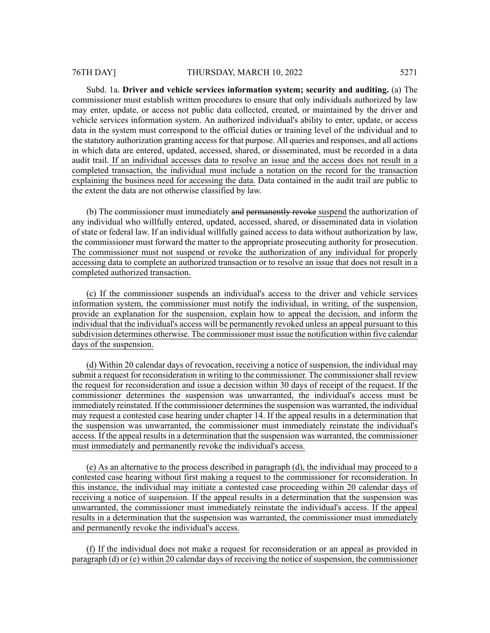Subd. 1a. **Driver and vehicle services information system; security and auditing.** (a) The commissioner must establish written procedures to ensure that only individuals authorized by law may enter, update, or access not public data collected, created, or maintained by the driver and vehicle services information system. An authorized individual's ability to enter, update, or access data in the system must correspond to the official duties or training level of the individual and to the statutory authorization granting accessfor that purpose. All queries and responses, and all actions in which data are entered, updated, accessed, shared, or disseminated, must be recorded in a data audit trail. If an individual accesses data to resolve an issue and the access does not result in a completed transaction, the individual must include a notation on the record for the transaction explaining the business need for accessing the data. Data contained in the audit trail are public to the extent the data are not otherwise classified by law.

(b) The commissioner must immediately and permanently revoke suspend the authorization of any individual who willfully entered, updated, accessed, shared, or disseminated data in violation of state or federal law. If an individual willfully gained access to data without authorization by law, the commissioner must forward the matter to the appropriate prosecuting authority for prosecution. The commissioner must not suspend or revoke the authorization of any individual for properly accessing data to complete an authorized transaction or to resolve an issue that does not result in a completed authorized transaction.

(c) If the commissioner suspends an individual's access to the driver and vehicle services information system, the commissioner must notify the individual, in writing, of the suspension, provide an explanation for the suspension, explain how to appeal the decision, and inform the individual that the individual's access will be permanently revoked unless an appeal pursuant to this subdivision determines otherwise. The commissioner must issue the notification within five calendar days of the suspension.

(d) Within 20 calendar days of revocation, receiving a notice of suspension, the individual may submit a request for reconsideration in writing to the commissioner. The commissioner shall review the request for reconsideration and issue a decision within 30 days of receipt of the request. If the commissioner determines the suspension was unwarranted, the individual's access must be immediately reinstated. If the commissioner determines the suspension was warranted, the individual may request a contested case hearing under chapter 14. If the appeal results in a determination that the suspension was unwarranted, the commissioner must immediately reinstate the individual's access. If the appeal results in a determination that the suspension was warranted, the commissioner must immediately and permanently revoke the individual's access.

(e) As an alternative to the process described in paragraph (d), the individual may proceed to a contested case hearing without first making a request to the commissioner for reconsideration. In this instance, the individual may initiate a contested case proceeding within 20 calendar days of receiving a notice of suspension. If the appeal results in a determination that the suspension was unwarranted, the commissioner must immediately reinstate the individual's access. If the appeal results in a determination that the suspension was warranted, the commissioner must immediately and permanently revoke the individual's access.

(f) If the individual does not make a request for reconsideration or an appeal as provided in paragraph  $(d)$  or  $(e)$  within 20 calendar days of receiving the notice of suspension, the commissioner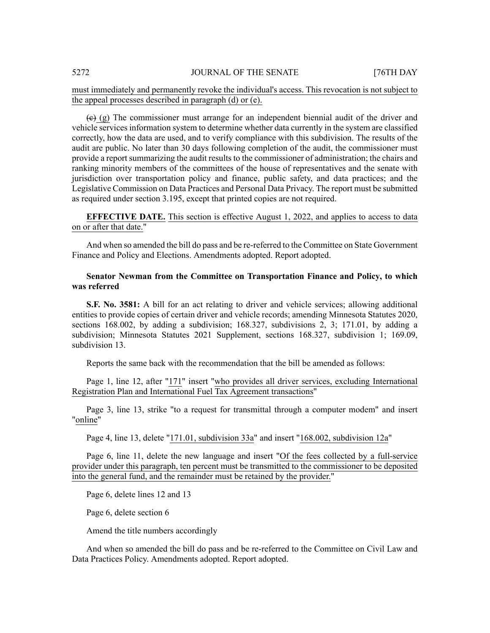# must immediately and permanently revoke the individual's access. This revocation is not subject to the appeal processes described in paragraph (d) or (e).

 $\leftrightarrow$  (g) The commissioner must arrange for an independent biennial audit of the driver and vehicle services information system to determine whether data currently in the system are classified correctly, how the data are used, and to verify compliance with this subdivision. The results of the audit are public. No later than 30 days following completion of the audit, the commissioner must provide a report summarizing the audit results to the commissioner of administration; the chairs and ranking minority members of the committees of the house of representatives and the senate with jurisdiction over transportation policy and finance, public safety, and data practices; and the Legislative Commission on Data Practices and Personal Data Privacy. The report must be submitted as required under section 3.195, except that printed copies are not required.

**EFFECTIVE DATE.** This section is effective August 1, 2022, and applies to access to data on or after that date."

And when so amended the bill do pass and be re-referred to the Committee on State Government Finance and Policy and Elections. Amendments adopted. Report adopted.

# **Senator Newman from the Committee on Transportation Finance and Policy, to which was referred**

**S.F. No. 3581:** A bill for an act relating to driver and vehicle services; allowing additional entities to provide copies of certain driver and vehicle records; amending Minnesota Statutes 2020, sections 168.002, by adding a subdivision; 168.327, subdivisions 2, 3; 171.01, by adding a subdivision; Minnesota Statutes 2021 Supplement, sections 168.327, subdivision 1; 169.09, subdivision 13.

Reports the same back with the recommendation that the bill be amended as follows:

Page 1, line 12, after "171" insert "who provides all driver services, excluding International Registration Plan and International Fuel Tax Agreement transactions"

Page 3, line 13, strike "to a request for transmittal through a computer modem" and insert "online"

Page 4, line 13, delete "171.01, subdivision 33a" and insert "168.002, subdivision 12a"

Page 6, line 11, delete the new language and insert "Of the fees collected by a full-service provider under this paragraph, ten percent must be transmitted to the commissioner to be deposited into the general fund, and the remainder must be retained by the provider."

Page 6, delete lines 12 and 13

Page 6, delete section 6

Amend the title numbers accordingly

And when so amended the bill do pass and be re-referred to the Committee on Civil Law and Data Practices Policy. Amendments adopted. Report adopted.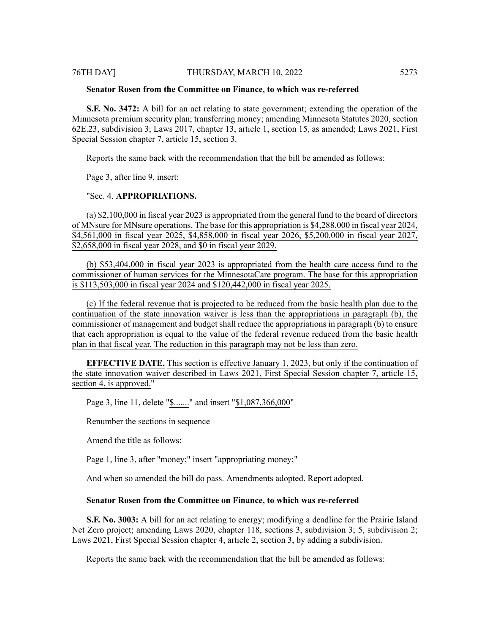**S.F. No. 3472:** A bill for an act relating to state government; extending the operation of the Minnesota premium security plan; transferring money; amending Minnesota Statutes 2020, section 62E.23, subdivision 3; Laws 2017, chapter 13, article 1, section 15, as amended; Laws 2021, First Special Session chapter 7, article 15, section 3.

Reports the same back with the recommendation that the bill be amended as follows:

Page 3, after line 9, insert:

#### "Sec. 4. **APPROPRIATIONS.**

(a) \$2,100,000 in fiscal year 2023 is appropriated from the general fund to the board of directors of MNsure for MNsure operations. The base for this appropriation is \$4,288,000 in fiscal year 2024, \$4,561,000 in fiscal year 2025, \$4,858,000 in fiscal year 2026, \$5,200,000 in fiscal year 2027, \$2,658,000 in fiscal year 2028, and \$0 in fiscal year 2029.

(b) \$53,404,000 in fiscal year 2023 is appropriated from the health care access fund to the commissioner of human services for the MinnesotaCare program. The base for this appropriation is \$113,503,000 in fiscal year 2024 and \$120,442,000 in fiscal year 2025.

(c) If the federal revenue that is projected to be reduced from the basic health plan due to the continuation of the state innovation waiver is less than the appropriations in paragraph (b), the commissioner of management and budget shall reduce the appropriations in paragraph (b) to ensure that each appropriation is equal to the value of the federal revenue reduced from the basic health plan in that fiscal year. The reduction in this paragraph may not be less than zero.

**EFFECTIVE DATE.** This section is effective January 1, 2023, but only if the continuation of the state innovation waiver described in Laws 2021, First Special Session chapter 7, article 15, section 4, is approved."

Page 3, line 11, delete "\$......." and insert "\$1,087,366,000"

Renumber the sections in sequence

Amend the title as follows:

Page 1, line 3, after "money;" insert "appropriating money;"

And when so amended the bill do pass. Amendments adopted. Report adopted.

# **Senator Rosen from the Committee on Finance, to which was re-referred**

**S.F. No. 3003:** A bill for an act relating to energy; modifying a deadline for the Prairie Island Net Zero project; amending Laws 2020, chapter 118, sections 3, subdivision 3; 5, subdivision 2; Laws 2021, First Special Session chapter 4, article 2, section 3, by adding a subdivision.

Reports the same back with the recommendation that the bill be amended as follows: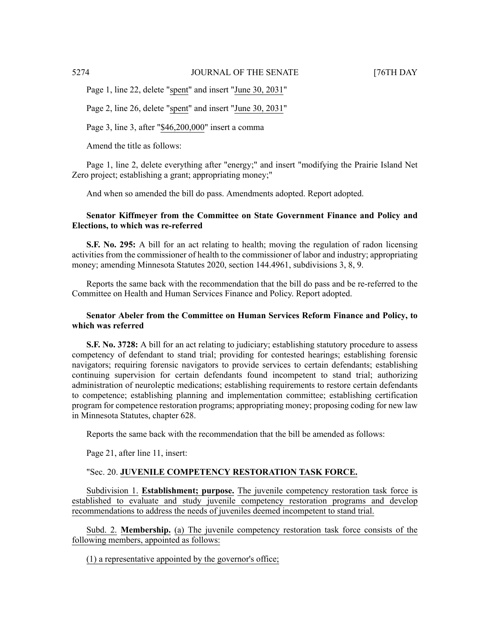Page 1, line 22, delete "spent" and insert "June 30, 2031"

Page 2, line 26, delete "spent" and insert "June 30, 2031"

Page 3, line 3, after "\$46,200,000" insert a comma

Amend the title as follows:

Page 1, line 2, delete everything after "energy;" and insert "modifying the Prairie Island Net Zero project; establishing a grant; appropriating money;"

And when so amended the bill do pass. Amendments adopted. Report adopted.

# **Senator Kiffmeyer from the Committee on State Government Finance and Policy and Elections, to which was re-referred**

**S.F. No. 295:** A bill for an act relating to health; moving the regulation of radon licensing activities from the commissioner of health to the commissioner of labor and industry; appropriating money; amending Minnesota Statutes 2020, section 144.4961, subdivisions 3, 8, 9.

Reports the same back with the recommendation that the bill do pass and be re-referred to the Committee on Health and Human Services Finance and Policy. Report adopted.

# **Senator Abeler from the Committee on Human Services Reform Finance and Policy, to which was referred**

**S.F. No. 3728:** A bill for an act relating to judiciary; establishing statutory procedure to assess competency of defendant to stand trial; providing for contested hearings; establishing forensic navigators; requiring forensic navigators to provide services to certain defendants; establishing continuing supervision for certain defendants found incompetent to stand trial; authorizing administration of neuroleptic medications; establishing requirements to restore certain defendants to competence; establishing planning and implementation committee; establishing certification program for competence restoration programs; appropriating money; proposing coding for new law in Minnesota Statutes, chapter 628.

Reports the same back with the recommendation that the bill be amended as follows:

Page 21, after line 11, insert:

# "Sec. 20. **JUVENILE COMPETENCY RESTORATION TASK FORCE.**

Subdivision 1. **Establishment; purpose.** The juvenile competency restoration task force is established to evaluate and study juvenile competency restoration programs and develop recommendations to address the needs of juveniles deemed incompetent to stand trial.

Subd. 2. **Membership.** (a) The juvenile competency restoration task force consists of the following members, appointed as follows:

(1) a representative appointed by the governor's office;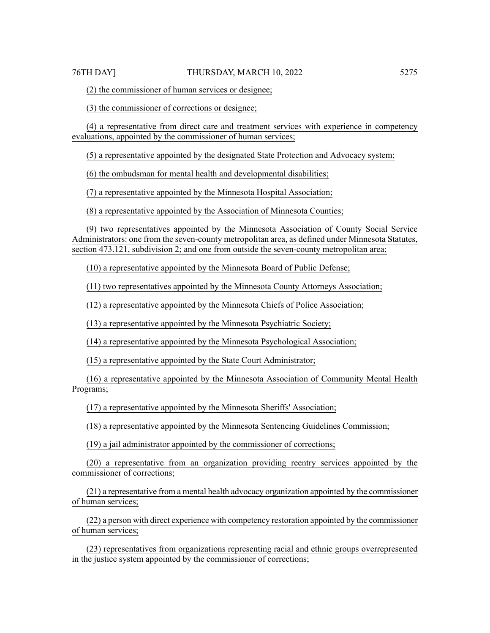(2) the commissioner of human services or designee;

(3) the commissioner of corrections or designee;

(4) a representative from direct care and treatment services with experience in competency evaluations, appointed by the commissioner of human services;

(5) a representative appointed by the designated State Protection and Advocacy system;

(6) the ombudsman for mental health and developmental disabilities;

(7) a representative appointed by the Minnesota Hospital Association;

(8) a representative appointed by the Association of Minnesota Counties;

(9) two representatives appointed by the Minnesota Association of County Social Service Administrators: one from the seven-county metropolitan area, as defined under Minnesota Statutes, section 473.121, subdivision 2; and one from outside the seven-county metropolitan area;

(10) a representative appointed by the Minnesota Board of Public Defense;

(11) two representatives appointed by the Minnesota County Attorneys Association;

(12) a representative appointed by the Minnesota Chiefs of Police Association;

(13) a representative appointed by the Minnesota Psychiatric Society;

(14) a representative appointed by the Minnesota Psychological Association;

(15) a representative appointed by the State Court Administrator;

(16) a representative appointed by the Minnesota Association of Community Mental Health Programs;

(17) a representative appointed by the Minnesota Sheriffs' Association;

(18) a representative appointed by the Minnesota Sentencing Guidelines Commission;

(19) a jail administrator appointed by the commissioner of corrections;

(20) a representative from an organization providing reentry services appointed by the commissioner of corrections;

(21) a representative from a mental health advocacy organization appointed by the commissioner of human services;

(22) a person with direct experience with competency restoration appointed by the commissioner of human services;

(23) representatives from organizations representing racial and ethnic groups overrepresented in the justice system appointed by the commissioner of corrections;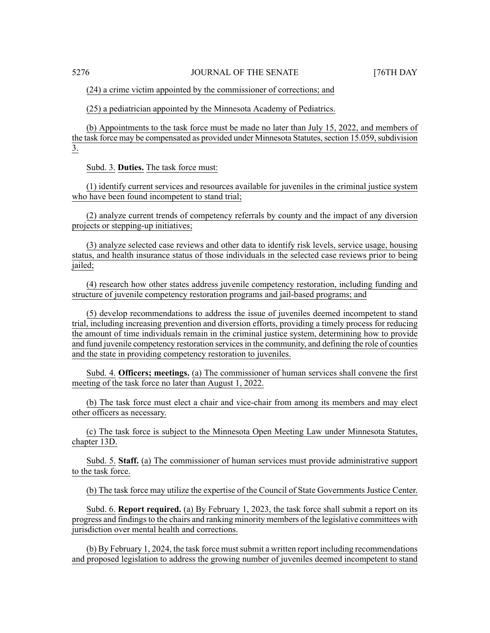(24) a crime victim appointed by the commissioner of corrections; and

(25) a pediatrician appointed by the Minnesota Academy of Pediatrics.

(b) Appointments to the task force must be made no later than July 15, 2022, and members of the task force may be compensated as provided under Minnesota Statutes, section 15.059, subdivision 3.

Subd. 3. **Duties.** The task force must:

(1) identify current services and resources available for juveniles in the criminal justice system who have been found incompetent to stand trial;

(2) analyze current trends of competency referrals by county and the impact of any diversion projects or stepping-up initiatives;

(3) analyze selected case reviews and other data to identify risk levels, service usage, housing status, and health insurance status of those individuals in the selected case reviews prior to being jailed;

(4) research how other states address juvenile competency restoration, including funding and structure of juvenile competency restoration programs and jail-based programs; and

(5) develop recommendations to address the issue of juveniles deemed incompetent to stand trial, including increasing prevention and diversion efforts, providing a timely process for reducing the amount of time individuals remain in the criminal justice system, determining how to provide and fund juvenile competency restoration services in the community, and defining the role of counties and the state in providing competency restoration to juveniles.

Subd. 4. **Officers; meetings.** (a) The commissioner of human services shall convene the first meeting of the task force no later than August 1, 2022.

(b) The task force must elect a chair and vice-chair from among its members and may elect other officers as necessary.

(c) The task force is subject to the Minnesota Open Meeting Law under Minnesota Statutes, chapter 13D.

Subd. 5. **Staff.** (a) The commissioner of human services must provide administrative support to the task force.

(b) The task force may utilize the expertise of the Council of State Governments Justice Center.

Subd. 6. **Report required.** (a) By February 1, 2023, the task force shall submit a report on its progress and findings to the chairs and ranking minority members of the legislative committees with jurisdiction over mental health and corrections.

(b) By February 1, 2024, the task force mustsubmit a written report including recommendations and proposed legislation to address the growing number of juveniles deemed incompetent to stand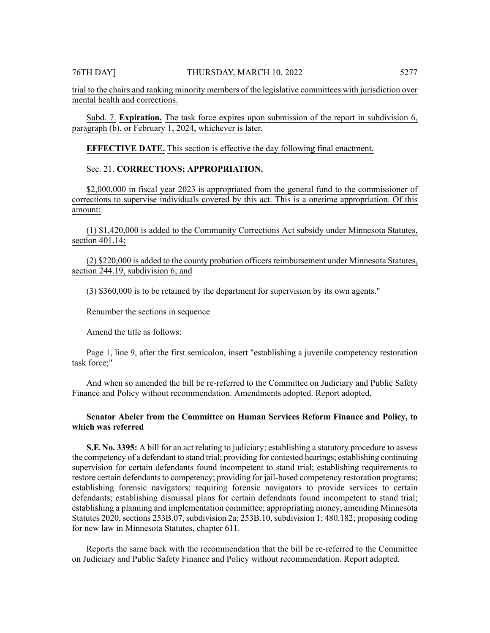trial to the chairs and ranking minority members of the legislative committees with jurisdiction over mental health and corrections.

Subd. 7. **Expiration.** The task force expires upon submission of the report in subdivision 6, paragraph (b), or February 1, 2024, whichever is later.

**EFFECTIVE DATE.** This section is effective the day following final enactment.

### Sec. 21. **CORRECTIONS; APPROPRIATION.**

\$2,000,000 in fiscal year 2023 is appropriated from the general fund to the commissioner of corrections to supervise individuals covered by this act. This is a onetime appropriation. Of this amount:

(1) \$1,420,000 is added to the Community Corrections Act subsidy under Minnesota Statutes, section 401.14;

(2) \$220,000 is added to the county probation officers reimbursement under Minnesota Statutes, section 244.19, subdivision 6; and

(3) \$360,000 is to be retained by the department for supervision by its own agents."

Renumber the sections in sequence

Amend the title as follows:

Page 1, line 9, after the first semicolon, insert "establishing a juvenile competency restoration task force;"

And when so amended the bill be re-referred to the Committee on Judiciary and Public Safety Finance and Policy without recommendation. Amendments adopted. Report adopted.

# **Senator Abeler from the Committee on Human Services Reform Finance and Policy, to which was referred**

**S.F. No. 3395:** A bill for an act relating to judiciary; establishing a statutory procedure to assess the competency of a defendant to stand trial; providing for contested hearings; establishing continuing supervision for certain defendants found incompetent to stand trial; establishing requirements to restore certain defendants to competency; providing for jail-based competency restoration programs; establishing forensic navigators; requiring forensic navigators to provide services to certain defendants; establishing dismissal plans for certain defendants found incompetent to stand trial; establishing a planning and implementation committee; appropriating money; amending Minnesota Statutes 2020, sections 253B.07, subdivision 2a; 253B.10, subdivision 1; 480.182; proposing coding for new law in Minnesota Statutes, chapter 611.

Reports the same back with the recommendation that the bill be re-referred to the Committee on Judiciary and Public Safety Finance and Policy without recommendation. Report adopted.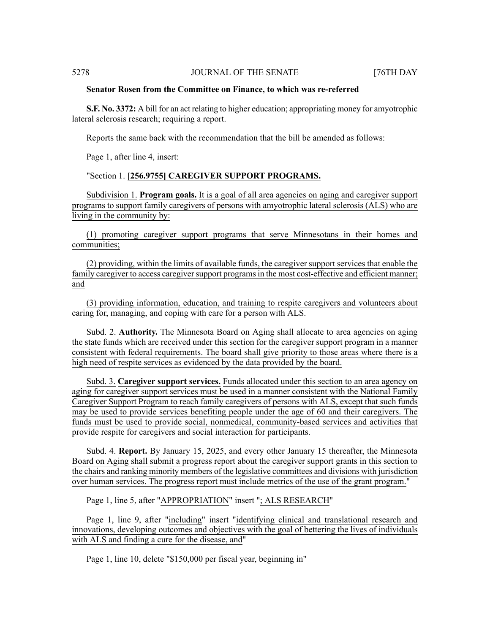#### **Senator Rosen from the Committee on Finance, to which was re-referred**

**S.F. No. 3372:** A bill for an act relating to higher education; appropriating money for amyotrophic lateral sclerosis research; requiring a report.

Reports the same back with the recommendation that the bill be amended as follows:

Page 1, after line 4, insert:

# "Section 1. **[256.9755] CAREGIVER SUPPORT PROGRAMS.**

Subdivision 1. **Program goals.** It is a goal of all area agencies on aging and caregiver support programs to support family caregivers of persons with amyotrophic lateral sclerosis (ALS) who are living in the community by:

(1) promoting caregiver support programs that serve Minnesotans in their homes and communities;

(2) providing, within the limits of available funds, the caregiver support services that enable the family caregiver to access caregiver support programs in the most cost-effective and efficient manner; and

(3) providing information, education, and training to respite caregivers and volunteers about caring for, managing, and coping with care for a person with ALS.

Subd. 2. **Authority.** The Minnesota Board on Aging shall allocate to area agencies on aging the state funds which are received under this section for the caregiver support program in a manner consistent with federal requirements. The board shall give priority to those areas where there is a high need of respite services as evidenced by the data provided by the board.

Subd. 3. **Caregiver support services.** Funds allocated under this section to an area agency on aging for caregiver support services must be used in a manner consistent with the National Family Caregiver Support Program to reach family caregivers of persons with ALS, except that such funds may be used to provide services benefiting people under the age of 60 and their caregivers. The funds must be used to provide social, nonmedical, community-based services and activities that provide respite for caregivers and social interaction for participants.

Subd. 4. **Report.** By January 15, 2025, and every other January 15 thereafter, the Minnesota Board on Aging shall submit a progress report about the caregiver support grants in this section to the chairs and ranking minority members of the legislative committees and divisions with jurisdiction over human services. The progress report must include metrics of the use of the grant program."

Page 1, line 5, after "APPROPRIATION" insert "; ALS RESEARCH"

Page 1, line 9, after "including" insert "identifying clinical and translational research and innovations, developing outcomes and objectives with the goal of bettering the lives of individuals with ALS and finding a cure for the disease, and"

Page 1, line 10, delete "\$150,000 per fiscal year, beginning in"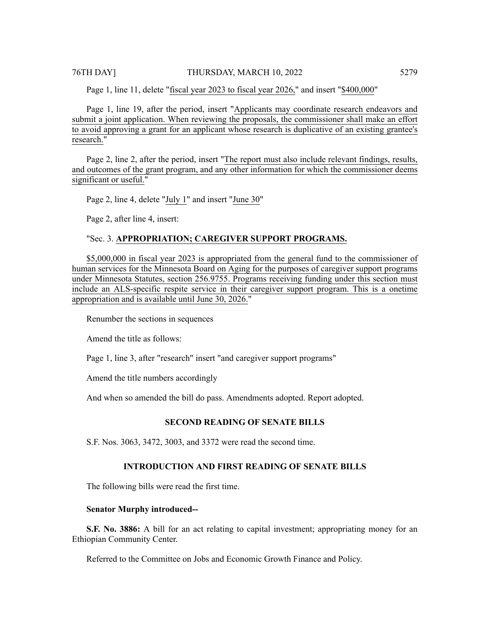Page 1, line 11, delete "fiscal year 2023 to fiscal year 2026," and insert "\$400,000"

Page 1, line 19, after the period, insert "Applicants may coordinate research endeavors and submit a joint application. When reviewing the proposals, the commissioner shall make an effort to avoid approving a grant for an applicant whose research is duplicative of an existing grantee's research."

Page 2, line 2, after the period, insert "The report must also include relevant findings, results, and outcomes of the grant program, and any other information for which the commissioner deems significant or useful."

Page 2, line 4, delete "July 1" and insert "June 30"

Page 2, after line 4, insert:

#### "Sec. 3. **APPROPRIATION; CAREGIVER SUPPORT PROGRAMS.**

\$5,000,000 in fiscal year 2023 is appropriated from the general fund to the commissioner of human services for the Minnesota Board on Aging for the purposes of caregiver support programs under Minnesota Statutes, section 256.9755. Programs receiving funding under this section must include an ALS-specific respite service in their caregiver support program. This is a onetime appropriation and is available until June 30, 2026."

Renumber the sections in sequences

Amend the title as follows:

Page 1, line 3, after "research" insert "and caregiver support programs"

Amend the title numbers accordingly

And when so amended the bill do pass. Amendments adopted. Report adopted.

# **SECOND READING OF SENATE BILLS**

S.F. Nos. 3063, 3472, 3003, and 3372 were read the second time.

### **INTRODUCTION AND FIRST READING OF SENATE BILLS**

The following bills were read the first time.

#### **Senator Murphy introduced--**

**S.F. No. 3886:** A bill for an act relating to capital investment; appropriating money for an Ethiopian Community Center.

Referred to the Committee on Jobs and Economic Growth Finance and Policy.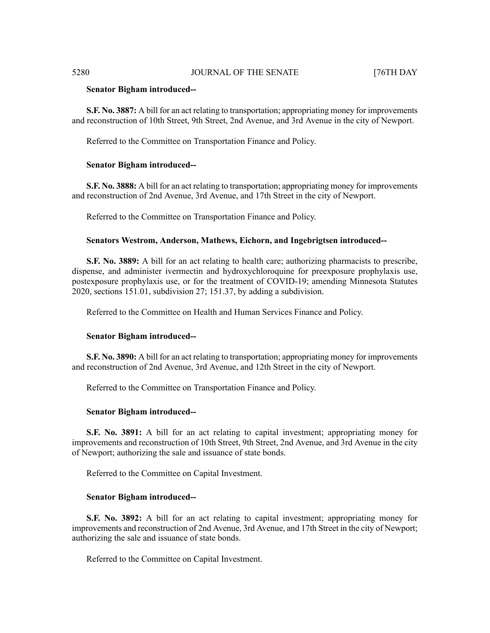#### **Senator Bigham introduced--**

**S.F. No. 3887:** A bill for an act relating to transportation; appropriating money for improvements and reconstruction of 10th Street, 9th Street, 2nd Avenue, and 3rd Avenue in the city of Newport.

Referred to the Committee on Transportation Finance and Policy.

#### **Senator Bigham introduced--**

**S.F. No. 3888:** A bill for an act relating to transportation; appropriating money for improvements and reconstruction of 2nd Avenue, 3rd Avenue, and 17th Street in the city of Newport.

Referred to the Committee on Transportation Finance and Policy.

#### **Senators Westrom, Anderson, Mathews, Eichorn, and Ingebrigtsen introduced--**

**S.F. No. 3889:** A bill for an act relating to health care; authorizing pharmacists to prescribe, dispense, and administer ivermectin and hydroxychloroquine for preexposure prophylaxis use, postexposure prophylaxis use, or for the treatment of COVID-19; amending Minnesota Statutes 2020, sections 151.01, subdivision 27; 151.37, by adding a subdivision.

Referred to the Committee on Health and Human Services Finance and Policy.

#### **Senator Bigham introduced--**

**S.F. No. 3890:** A bill for an act relating to transportation; appropriating money for improvements and reconstruction of 2nd Avenue, 3rd Avenue, and 12th Street in the city of Newport.

Referred to the Committee on Transportation Finance and Policy.

#### **Senator Bigham introduced--**

**S.F. No. 3891:** A bill for an act relating to capital investment; appropriating money for improvements and reconstruction of 10th Street, 9th Street, 2nd Avenue, and 3rd Avenue in the city of Newport; authorizing the sale and issuance of state bonds.

Referred to the Committee on Capital Investment.

#### **Senator Bigham introduced--**

**S.F. No. 3892:** A bill for an act relating to capital investment; appropriating money for improvements and reconstruction of 2nd Avenue, 3rd Avenue, and 17th Street in the city of Newport; authorizing the sale and issuance of state bonds.

Referred to the Committee on Capital Investment.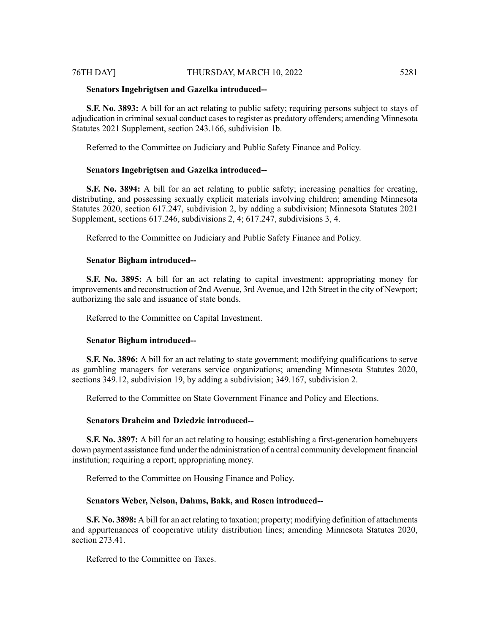#### **Senators Ingebrigtsen and Gazelka introduced--**

**S.F. No. 3893:** A bill for an act relating to public safety; requiring persons subject to stays of adjudication in criminal sexual conduct cases to register as predatory offenders; amending Minnesota Statutes 2021 Supplement, section 243.166, subdivision 1b.

Referred to the Committee on Judiciary and Public Safety Finance and Policy.

#### **Senators Ingebrigtsen and Gazelka introduced--**

**S.F. No. 3894:** A bill for an act relating to public safety; increasing penalties for creating, distributing, and possessing sexually explicit materials involving children; amending Minnesota Statutes 2020, section 617.247, subdivision 2, by adding a subdivision; Minnesota Statutes 2021 Supplement, sections 617.246, subdivisions 2, 4; 617.247, subdivisions 3, 4.

Referred to the Committee on Judiciary and Public Safety Finance and Policy.

#### **Senator Bigham introduced--**

**S.F. No. 3895:** A bill for an act relating to capital investment; appropriating money for improvements and reconstruction of 2nd Avenue, 3rd Avenue, and 12th Street in the city of Newport; authorizing the sale and issuance of state bonds.

Referred to the Committee on Capital Investment.

#### **Senator Bigham introduced--**

**S.F. No. 3896:** A bill for an act relating to state government; modifying qualifications to serve as gambling managers for veterans service organizations; amending Minnesota Statutes 2020, sections 349.12, subdivision 19, by adding a subdivision; 349.167, subdivision 2.

Referred to the Committee on State Government Finance and Policy and Elections.

# **Senators Draheim and Dziedzic introduced--**

**S.F. No. 3897:** A bill for an act relating to housing; establishing a first-generation homebuyers down payment assistance fund under the administration of a central community development financial institution; requiring a report; appropriating money.

Referred to the Committee on Housing Finance and Policy.

# **Senators Weber, Nelson, Dahms, Bakk, and Rosen introduced--**

**S.F. No. 3898:** A bill for an act relating to taxation; property; modifying definition of attachments and appurtenances of cooperative utility distribution lines; amending Minnesota Statutes 2020, section 273.41.

Referred to the Committee on Taxes.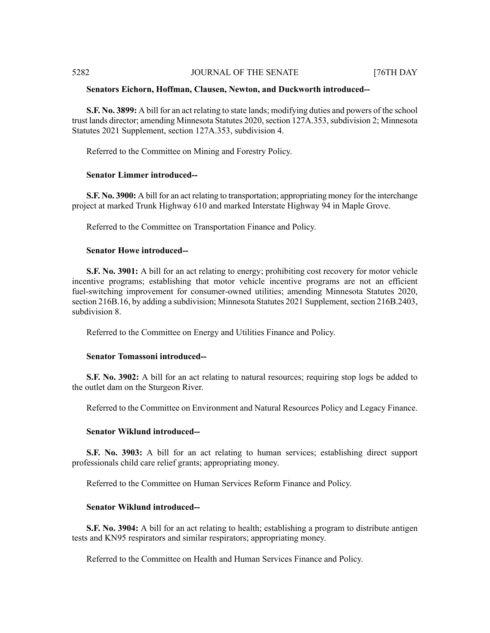#### **Senators Eichorn, Hoffman, Clausen, Newton, and Duckworth introduced--**

**S.F. No. 3899:** A bill for an act relating to state lands; modifying duties and powers of the school trust lands director; amending Minnesota Statutes 2020, section 127A.353, subdivision 2; Minnesota Statutes 2021 Supplement, section 127A.353, subdivision 4.

Referred to the Committee on Mining and Forestry Policy.

### **Senator Limmer introduced--**

**S.F. No. 3900:** A bill for an act relating to transportation; appropriating money for the interchange project at marked Trunk Highway 610 and marked Interstate Highway 94 in Maple Grove.

Referred to the Committee on Transportation Finance and Policy.

#### **Senator Howe introduced--**

**S.F. No. 3901:** A bill for an act relating to energy; prohibiting cost recovery for motor vehicle incentive programs; establishing that motor vehicle incentive programs are not an efficient fuel-switching improvement for consumer-owned utilities; amending Minnesota Statutes 2020, section 216B.16, by adding a subdivision; Minnesota Statutes 2021 Supplement, section 216B.2403, subdivision 8.

Referred to the Committee on Energy and Utilities Finance and Policy.

### **Senator Tomassoni introduced--**

**S.F. No. 3902:** A bill for an act relating to natural resources; requiring stop logs be added to the outlet dam on the Sturgeon River.

Referred to the Committee on Environment and Natural Resources Policy and Legacy Finance.

#### **Senator Wiklund introduced--**

**S.F. No. 3903:** A bill for an act relating to human services; establishing direct support professionals child care relief grants; appropriating money.

Referred to the Committee on Human Services Reform Finance and Policy.

# **Senator Wiklund introduced--**

**S.F. No. 3904:** A bill for an act relating to health; establishing a program to distribute antigen tests and KN95 respirators and similar respirators; appropriating money.

Referred to the Committee on Health and Human Services Finance and Policy.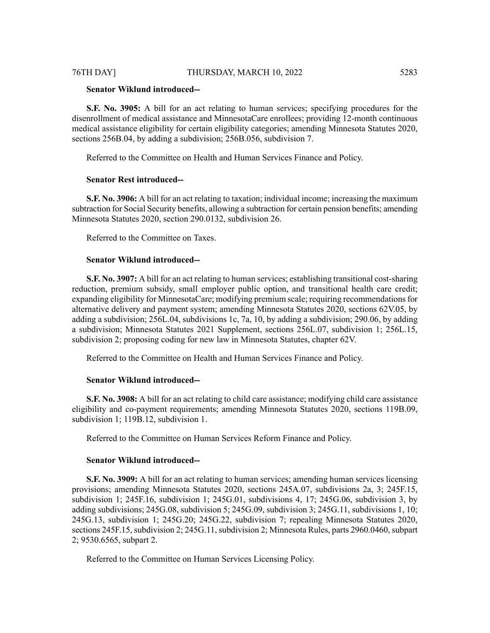# **Senator Wiklund introduced--**

**S.F. No. 3905:** A bill for an act relating to human services; specifying procedures for the disenrollment of medical assistance and MinnesotaCare enrollees; providing 12-month continuous medical assistance eligibility for certain eligibility categories; amending Minnesota Statutes 2020, sections 256B.04, by adding a subdivision; 256B.056, subdivision 7.

Referred to the Committee on Health and Human Services Finance and Policy.

#### **Senator Rest introduced--**

**S.F. No. 3906:** A bill for an act relating to taxation; individual income; increasing the maximum subtraction for Social Security benefits, allowing a subtraction for certain pension benefits; amending Minnesota Statutes 2020, section 290.0132, subdivision 26.

Referred to the Committee on Taxes.

#### **Senator Wiklund introduced--**

**S.F. No. 3907:** A bill for an act relating to human services; establishing transitional cost-sharing reduction, premium subsidy, small employer public option, and transitional health care credit; expanding eligibility for MinnesotaCare; modifying premium scale; requiring recommendations for alternative delivery and payment system; amending Minnesota Statutes 2020, sections 62V.05, by adding a subdivision; 256L.04, subdivisions 1c, 7a, 10, by adding a subdivision; 290.06, by adding a subdivision; Minnesota Statutes 2021 Supplement, sections 256L.07, subdivision 1; 256L.15, subdivision 2; proposing coding for new law in Minnesota Statutes, chapter 62V.

Referred to the Committee on Health and Human Services Finance and Policy.

#### **Senator Wiklund introduced--**

**S.F. No. 3908:** A bill for an act relating to child care assistance; modifying child care assistance eligibility and co-payment requirements; amending Minnesota Statutes 2020, sections 119B.09, subdivision 1; 119B.12, subdivision 1.

Referred to the Committee on Human Services Reform Finance and Policy.

#### **Senator Wiklund introduced--**

**S.F. No. 3909:** A bill for an act relating to human services; amending human services licensing provisions; amending Minnesota Statutes 2020, sections 245A.07, subdivisions 2a, 3; 245F.15, subdivision 1; 245F.16, subdivision 1; 245G.01, subdivisions 4, 17; 245G.06, subdivision 3, by adding subdivisions; 245G.08, subdivision 5; 245G.09, subdivision 3; 245G.11, subdivisions 1, 10; 245G.13, subdivision 1; 245G.20; 245G.22, subdivision 7; repealing Minnesota Statutes 2020, sections 245F.15, subdivision 2; 245G.11, subdivision 2; Minnesota Rules, parts 2960.0460, subpart 2; 9530.6565, subpart 2.

Referred to the Committee on Human Services Licensing Policy.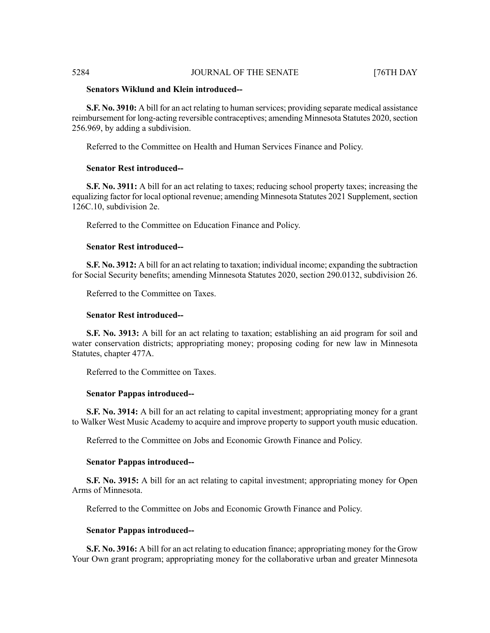# **Senators Wiklund and Klein introduced--**

**S.F. No. 3910:** A bill for an act relating to human services; providing separate medical assistance reimbursement for long-acting reversible contraceptives; amending Minnesota Statutes 2020, section 256.969, by adding a subdivision.

Referred to the Committee on Health and Human Services Finance and Policy.

# **Senator Rest introduced--**

**S.F. No. 3911:** A bill for an act relating to taxes; reducing school property taxes; increasing the equalizing factor for local optional revenue; amending Minnesota Statutes 2021 Supplement, section 126C.10, subdivision 2e.

Referred to the Committee on Education Finance and Policy.

## **Senator Rest introduced--**

**S.F. No. 3912:** A bill for an act relating to taxation; individual income; expanding the subtraction for Social Security benefits; amending Minnesota Statutes 2020, section 290.0132, subdivision 26.

Referred to the Committee on Taxes.

#### **Senator Rest introduced--**

**S.F. No. 3913:** A bill for an act relating to taxation; establishing an aid program for soil and water conservation districts; appropriating money; proposing coding for new law in Minnesota Statutes, chapter 477A.

Referred to the Committee on Taxes.

# **Senator Pappas introduced--**

**S.F. No. 3914:** A bill for an act relating to capital investment; appropriating money for a grant to Walker West Music Academy to acquire and improve property to support youth music education.

Referred to the Committee on Jobs and Economic Growth Finance and Policy.

#### **Senator Pappas introduced--**

**S.F. No. 3915:** A bill for an act relating to capital investment; appropriating money for Open Arms of Minnesota.

Referred to the Committee on Jobs and Economic Growth Finance and Policy.

#### **Senator Pappas introduced--**

**S.F. No. 3916:** A bill for an act relating to education finance; appropriating money for the Grow Your Own grant program; appropriating money for the collaborative urban and greater Minnesota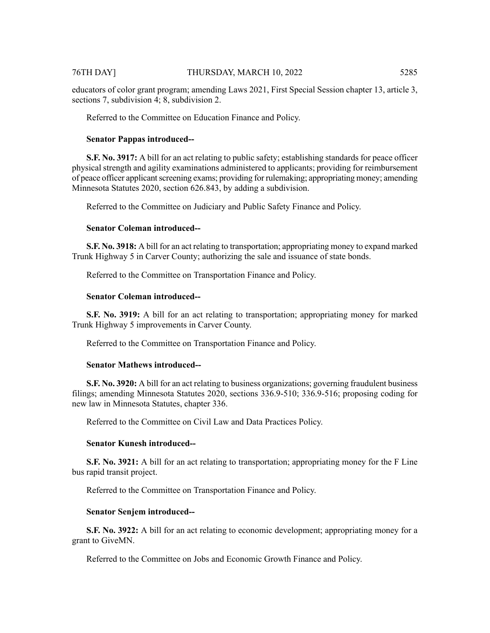# 76TH DAY] THURSDAY, MARCH 10, 2022 5285

educators of color grant program; amending Laws 2021, First Special Session chapter 13, article 3, sections 7, subdivision 4; 8, subdivision 2.

Referred to the Committee on Education Finance and Policy.

### **Senator Pappas introduced--**

**S.F. No. 3917:** A bill for an act relating to public safety; establishing standards for peace officer physical strength and agility examinations administered to applicants; providing for reimbursement of peace officer applicant screening exams; providing for rulemaking; appropriating money; amending Minnesota Statutes 2020, section 626.843, by adding a subdivision.

Referred to the Committee on Judiciary and Public Safety Finance and Policy.

#### **Senator Coleman introduced--**

**S.F. No. 3918:** A bill for an act relating to transportation; appropriating money to expand marked Trunk Highway 5 in Carver County; authorizing the sale and issuance of state bonds.

Referred to the Committee on Transportation Finance and Policy.

# **Senator Coleman introduced--**

**S.F. No. 3919:** A bill for an act relating to transportation; appropriating money for marked Trunk Highway 5 improvements in Carver County.

Referred to the Committee on Transportation Finance and Policy.

#### **Senator Mathews introduced--**

**S.F. No. 3920:** A bill for an act relating to business organizations; governing fraudulent business filings; amending Minnesota Statutes 2020, sections 336.9-510; 336.9-516; proposing coding for new law in Minnesota Statutes, chapter 336.

Referred to the Committee on Civil Law and Data Practices Policy.

#### **Senator Kunesh introduced--**

**S.F. No. 3921:** A bill for an act relating to transportation; appropriating money for the F Line bus rapid transit project.

Referred to the Committee on Transportation Finance and Policy.

#### **Senator Senjem introduced--**

**S.F. No. 3922:** A bill for an act relating to economic development; appropriating money for a grant to GiveMN.

Referred to the Committee on Jobs and Economic Growth Finance and Policy.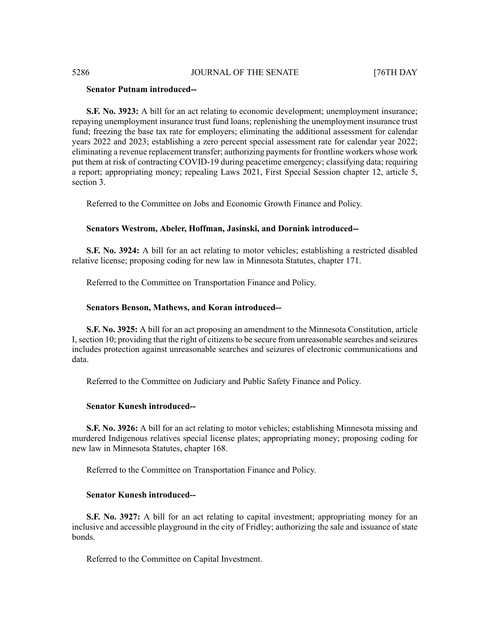### **Senator Putnam introduced--**

**S.F. No. 3923:** A bill for an act relating to economic development; unemployment insurance; repaying unemployment insurance trust fund loans; replenishing the unemployment insurance trust fund; freezing the base tax rate for employers; eliminating the additional assessment for calendar years 2022 and 2023; establishing a zero percent special assessment rate for calendar year 2022; eliminating a revenue replacement transfer; authorizing paymentsfor frontline workers whose work put them at risk of contracting COVID-19 during peacetime emergency; classifying data; requiring a report; appropriating money; repealing Laws 2021, First Special Session chapter 12, article 5, section 3.

Referred to the Committee on Jobs and Economic Growth Finance and Policy.

# **Senators Westrom, Abeler, Hoffman, Jasinski, and Dornink introduced--**

**S.F. No. 3924:** A bill for an act relating to motor vehicles; establishing a restricted disabled relative license; proposing coding for new law in Minnesota Statutes, chapter 171.

Referred to the Committee on Transportation Finance and Policy.

#### **Senators Benson, Mathews, and Koran introduced--**

**S.F. No. 3925:** A bill for an act proposing an amendment to the Minnesota Constitution, article I, section 10; providing that the right of citizens to be secure from unreasonable searches and seizures includes protection against unreasonable searches and seizures of electronic communications and data.

Referred to the Committee on Judiciary and Public Safety Finance and Policy.

### **Senator Kunesh introduced--**

**S.F. No. 3926:** A bill for an act relating to motor vehicles; establishing Minnesota missing and murdered Indigenous relatives special license plates; appropriating money; proposing coding for new law in Minnesota Statutes, chapter 168.

Referred to the Committee on Transportation Finance and Policy.

### **Senator Kunesh introduced--**

**S.F. No. 3927:** A bill for an act relating to capital investment; appropriating money for an inclusive and accessible playground in the city of Fridley; authorizing the sale and issuance of state bonds.

Referred to the Committee on Capital Investment.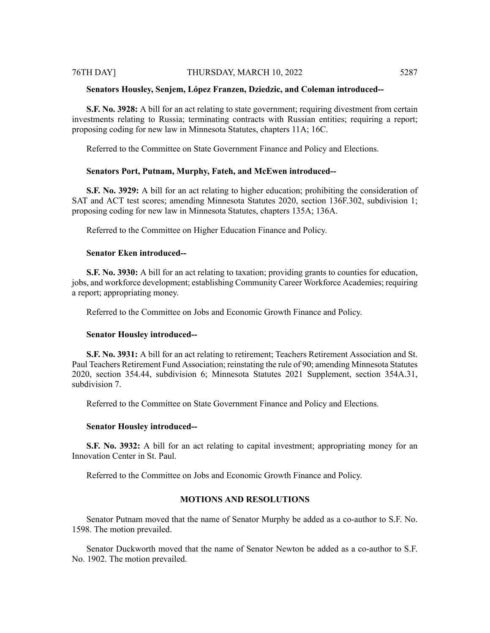#### **Senators Housley, Senjem, López Franzen, Dziedzic, and Coleman introduced--**

**S.F. No. 3928:** A bill for an act relating to state government; requiring divestment from certain investments relating to Russia; terminating contracts with Russian entities; requiring a report; proposing coding for new law in Minnesota Statutes, chapters 11A; 16C.

Referred to the Committee on State Government Finance and Policy and Elections.

#### **Senators Port, Putnam, Murphy, Fateh, and McEwen introduced--**

**S.F. No. 3929:** A bill for an act relating to higher education; prohibiting the consideration of SAT and ACT test scores; amending Minnesota Statutes 2020, section 136F.302, subdivision 1; proposing coding for new law in Minnesota Statutes, chapters 135A; 136A.

Referred to the Committee on Higher Education Finance and Policy.

#### **Senator Eken introduced--**

**S.F. No. 3930:** A bill for an act relating to taxation; providing grants to counties for education, jobs, and workforce development; establishing Community Career Workforce Academies; requiring a report; appropriating money.

Referred to the Committee on Jobs and Economic Growth Finance and Policy.

# **Senator Housley introduced--**

**S.F. No. 3931:** A bill for an act relating to retirement; Teachers Retirement Association and St. Paul Teachers Retirement Fund Association; reinstating the rule of 90; amending Minnesota Statutes 2020, section 354.44, subdivision 6; Minnesota Statutes 2021 Supplement, section 354A.31, subdivision 7.

Referred to the Committee on State Government Finance and Policy and Elections.

#### **Senator Housley introduced--**

**S.F. No. 3932:** A bill for an act relating to capital investment; appropriating money for an Innovation Center in St. Paul.

Referred to the Committee on Jobs and Economic Growth Finance and Policy.

# **MOTIONS AND RESOLUTIONS**

Senator Putnam moved that the name of Senator Murphy be added as a co-author to S.F. No. 1598. The motion prevailed.

Senator Duckworth moved that the name of Senator Newton be added as a co-author to S.F. No. 1902. The motion prevailed.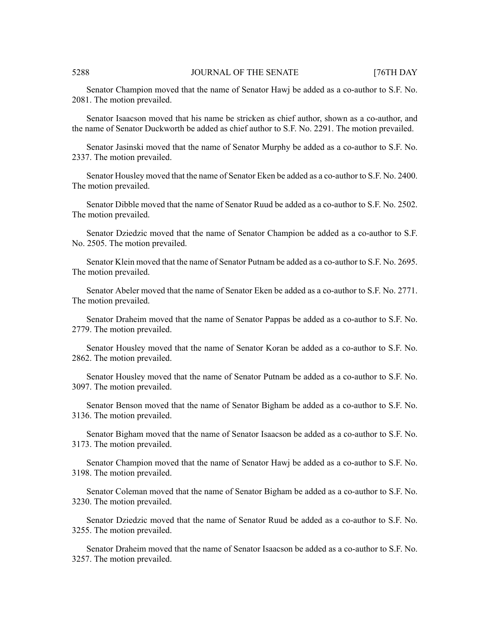Senator Champion moved that the name of Senator Hawj be added as a co-author to S.F. No. 2081. The motion prevailed.

Senator Isaacson moved that his name be stricken as chief author, shown as a co-author, and the name of Senator Duckworth be added as chief author to S.F. No. 2291. The motion prevailed.

Senator Jasinski moved that the name of Senator Murphy be added as a co-author to S.F. No. 2337. The motion prevailed.

Senator Housley moved that the name of Senator Eken be added as a co-author to S.F. No. 2400. The motion prevailed.

Senator Dibble moved that the name of Senator Ruud be added as a co-author to S.F. No. 2502. The motion prevailed.

Senator Dziedzic moved that the name of Senator Champion be added as a co-author to S.F. No. 2505. The motion prevailed.

Senator Klein moved that the name of Senator Putnam be added as a co-author to S.F. No. 2695. The motion prevailed.

Senator Abeler moved that the name of Senator Eken be added as a co-author to S.F. No. 2771. The motion prevailed.

Senator Draheim moved that the name of Senator Pappas be added as a co-author to S.F. No. 2779. The motion prevailed.

Senator Housley moved that the name of Senator Koran be added as a co-author to S.F. No. 2862. The motion prevailed.

Senator Housley moved that the name of Senator Putnam be added as a co-author to S.F. No. 3097. The motion prevailed.

Senator Benson moved that the name of Senator Bigham be added as a co-author to S.F. No. 3136. The motion prevailed.

Senator Bigham moved that the name of Senator Isaacson be added as a co-author to S.F. No. 3173. The motion prevailed.

Senator Champion moved that the name of Senator Hawj be added as a co-author to S.F. No. 3198. The motion prevailed.

Senator Coleman moved that the name of Senator Bigham be added as a co-author to S.F. No. 3230. The motion prevailed.

Senator Dziedzic moved that the name of Senator Ruud be added as a co-author to S.F. No. 3255. The motion prevailed.

Senator Draheim moved that the name of Senator Isaacson be added as a co-author to S.F. No. 3257. The motion prevailed.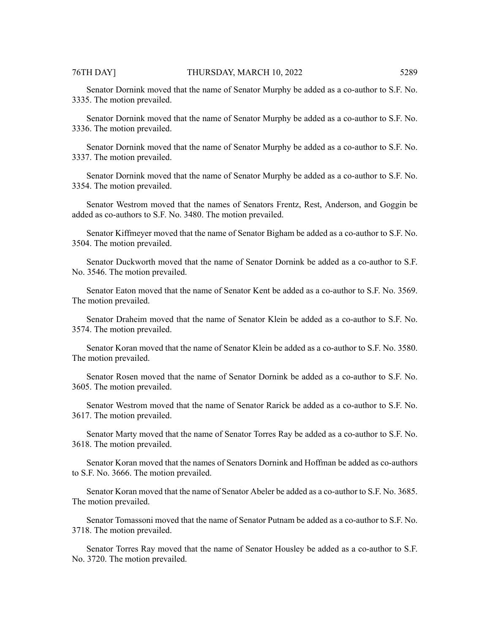Senator Dornink moved that the name of Senator Murphy be added as a co-author to S.F. No. 3335. The motion prevailed.

Senator Dornink moved that the name of Senator Murphy be added as a co-author to S.F. No. 3336. The motion prevailed.

Senator Dornink moved that the name of Senator Murphy be added as a co-author to S.F. No. 3337. The motion prevailed.

Senator Dornink moved that the name of Senator Murphy be added as a co-author to S.F. No. 3354. The motion prevailed.

Senator Westrom moved that the names of Senators Frentz, Rest, Anderson, and Goggin be added as co-authors to S.F. No. 3480. The motion prevailed.

Senator Kiffmeyer moved that the name of Senator Bigham be added as a co-author to S.F. No. 3504. The motion prevailed.

Senator Duckworth moved that the name of Senator Dornink be added as a co-author to S.F. No. 3546. The motion prevailed.

Senator Eaton moved that the name of Senator Kent be added as a co-author to S.F. No. 3569. The motion prevailed.

Senator Draheim moved that the name of Senator Klein be added as a co-author to S.F. No. 3574. The motion prevailed.

Senator Koran moved that the name of Senator Klein be added as a co-author to S.F. No. 3580. The motion prevailed.

Senator Rosen moved that the name of Senator Dornink be added as a co-author to S.F. No. 3605. The motion prevailed.

Senator Westrom moved that the name of Senator Rarick be added as a co-author to S.F. No. 3617. The motion prevailed.

Senator Marty moved that the name of Senator Torres Ray be added as a co-author to S.F. No. 3618. The motion prevailed.

Senator Koran moved that the names of Senators Dornink and Hoffman be added as co-authors to S.F. No. 3666. The motion prevailed.

Senator Koran moved that the name of Senator Abeler be added as a co-author to S.F. No. 3685. The motion prevailed.

Senator Tomassoni moved that the name of Senator Putnam be added as a co-author to S.F. No. 3718. The motion prevailed.

Senator Torres Ray moved that the name of Senator Housley be added as a co-author to S.F. No. 3720. The motion prevailed.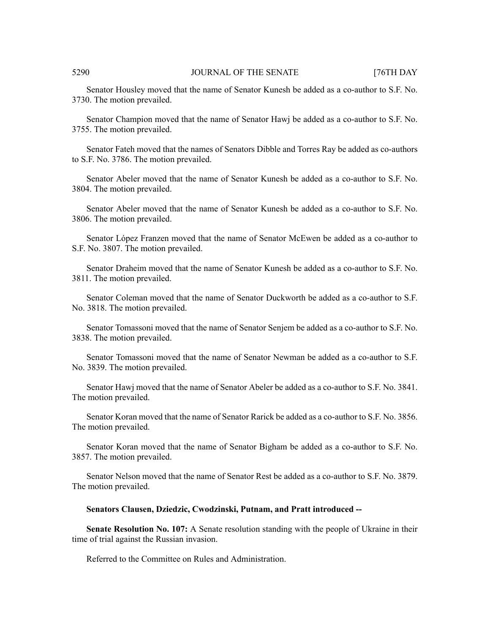Senator Housley moved that the name of Senator Kunesh be added as a co-author to S.F. No. 3730. The motion prevailed.

Senator Champion moved that the name of Senator Hawj be added as a co-author to S.F. No. 3755. The motion prevailed.

Senator Fateh moved that the names of Senators Dibble and Torres Ray be added as co-authors to S.F. No. 3786. The motion prevailed.

Senator Abeler moved that the name of Senator Kunesh be added as a co-author to S.F. No. 3804. The motion prevailed.

Senator Abeler moved that the name of Senator Kunesh be added as a co-author to S.F. No. 3806. The motion prevailed.

Senator López Franzen moved that the name of Senator McEwen be added as a co-author to S.F. No. 3807. The motion prevailed.

Senator Draheim moved that the name of Senator Kunesh be added as a co-author to S.F. No. 3811. The motion prevailed.

Senator Coleman moved that the name of Senator Duckworth be added as a co-author to S.F. No. 3818. The motion prevailed.

Senator Tomassoni moved that the name of Senator Senjem be added as a co-author to S.F. No. 3838. The motion prevailed.

Senator Tomassoni moved that the name of Senator Newman be added as a co-author to S.F. No. 3839. The motion prevailed.

Senator Hawj moved that the name of Senator Abeler be added as a co-author to S.F. No. 3841. The motion prevailed.

Senator Koran moved that the name of Senator Rarick be added as a co-author to S.F. No. 3856. The motion prevailed.

Senator Koran moved that the name of Senator Bigham be added as a co-author to S.F. No. 3857. The motion prevailed.

Senator Nelson moved that the name of Senator Rest be added as a co-author to S.F. No. 3879. The motion prevailed.

#### **Senators Clausen, Dziedzic, Cwodzinski, Putnam, and Pratt introduced --**

**Senate Resolution No. 107:** A Senate resolution standing with the people of Ukraine in their time of trial against the Russian invasion.

Referred to the Committee on Rules and Administration.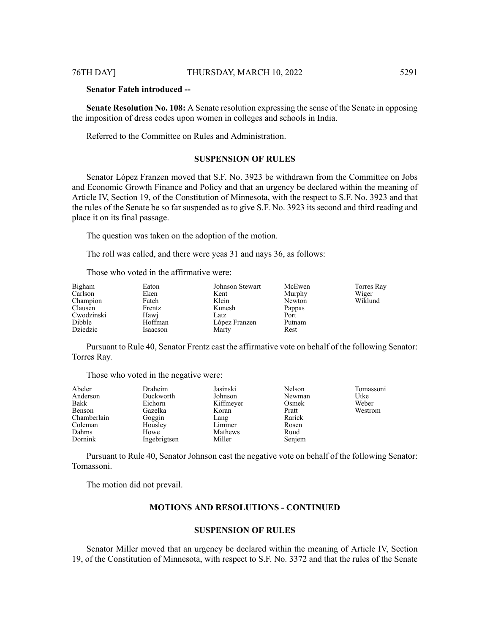**Senator Fateh introduced --**

**Senate Resolution No. 108:** A Senate resolution expressing the sense of the Senate in opposing the imposition of dress codes upon women in colleges and schools in India.

Referred to the Committee on Rules and Administration.

# **SUSPENSION OF RULES**

Senator López Franzen moved that S.F. No. 3923 be withdrawn from the Committee on Jobs and Economic Growth Finance and Policy and that an urgency be declared within the meaning of Article IV, Section 19, of the Constitution of Minnesota, with the respect to S.F. No. 3923 and that the rules of the Senate be so far suspended as to give S.F. No. 3923 its second and third reading and place it on its final passage.

The question was taken on the adoption of the motion.

The roll was called, and there were yeas 31 and nays 36, as follows:

Those who voted in the affirmative were:

| Bigham     | Eaton    | Johnson Stewart | McEwen | Torres Ray |
|------------|----------|-----------------|--------|------------|
| Carlson    | Eken     | Kent            | Murphy | Wiger      |
| Champion   | Fateh    | Klein           | Newton | Wiklund    |
| Clausen    | Frentz   | Kunesh          | Pappas |            |
| Cwodzinski | Hawj     | Latz            | Port   |            |
| Dibble     | Hoffman  | López Franzen   | Putnam |            |
| Dziedzic   | Isaacson | Marty           | Rest   |            |

Pursuant to Rule 40, Senator Frentz cast the affirmative vote on behalf of the following Senator: Torres Ray.

Those who voted in the negative were:

| Abeler      | Draheim      | Jasinski  | Nelson | Tomassoni |
|-------------|--------------|-----------|--------|-----------|
| Anderson    | Duckworth    | Johnson   | Newman | Utke      |
| Bakk        | Eichorn      | Kiffmeyer | Osmek  | Weber     |
| Benson      | Gazelka      | Koran     | Pratt  | Westrom   |
| Chamberlain | Goggin       | Lang      | Rarick |           |
| Coleman     | Housley      | Limmer    | Rosen  |           |
| Dahms       | Howe         | Mathews   | Ruud   |           |
| Dornink     | Ingebrigtsen | Miller    | Senjem |           |

Pursuant to Rule 40, Senator Johnson cast the negative vote on behalf of the following Senator: Tomassoni.

The motion did not prevail.

# **MOTIONS AND RESOLUTIONS - CONTINUED**

#### **SUSPENSION OF RULES**

Senator Miller moved that an urgency be declared within the meaning of Article IV, Section 19, of the Constitution of Minnesota, with respect to S.F. No. 3372 and that the rules of the Senate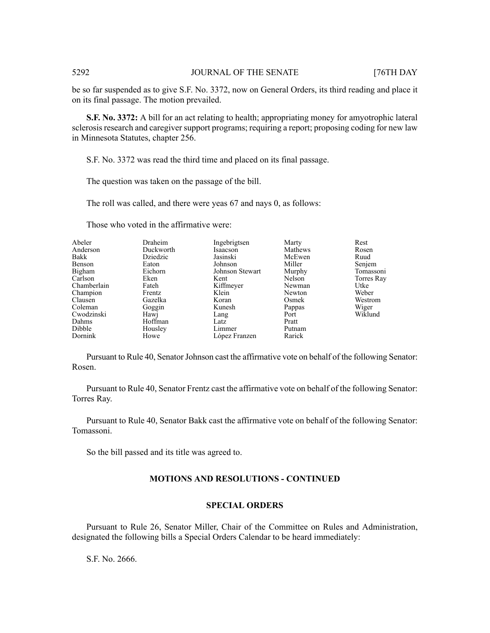be so far suspended as to give S.F. No. 3372, now on General Orders, its third reading and place it on its final passage. The motion prevailed.

**S.F. No. 3372:** A bill for an act relating to health; appropriating money for amyotrophic lateral sclerosis research and caregiver support programs; requiring a report; proposing coding for new law in Minnesota Statutes, chapter 256.

S.F. No. 3372 was read the third time and placed on its final passage.

The question was taken on the passage of the bill.

The roll was called, and there were yeas 67 and nays 0, as follows:

| Abeler      | Draheim   | Ingebrigtsen    | Marty   | Rest       |
|-------------|-----------|-----------------|---------|------------|
| Anderson    | Duckworth | Isaacson        | Mathews | Rosen      |
| Bakk        | Dziedzic  | Jasinski        | McEwen  | Ruud       |
| Benson      | Eaton     | Johnson         | Miller  | Senjem     |
| Bigham      | Eichorn   | Johnson Stewart | Murphy  | Tomassoni  |
| Carlson     | Eken      | Kent            | Nelson  | Torres Ray |
| Chamberlain | Fateh     | Kiffmeyer       | Newman  | Utke       |
| Champion    | Frentz    | Klein           | Newton  | Weber      |
| Clausen     | Gazelka   | Koran           | Osmek   | Westrom    |
| Coleman     | Goggin    | Kunesh          | Pappas  | Wiger      |
| Cwodzinski  | Hawj      | Lang            | Port    | Wiklund    |
| Dahms       | Hoffman   | Latz            | Pratt   |            |
| Dibble      | Housley   | Limmer          | Putnam  |            |
| Dornink     | Howe      | López Franzen   | Rarick  |            |

Those who voted in the affirmative were:

Pursuant to Rule 40, Senator Johnson cast the affirmative vote on behalf of the following Senator: Rosen.

Pursuant to Rule 40, Senator Frentz cast the affirmative vote on behalf of the following Senator: Torres Ray.

Pursuant to Rule 40, Senator Bakk cast the affirmative vote on behalf of the following Senator: Tomassoni.

So the bill passed and its title was agreed to.

## **MOTIONS AND RESOLUTIONS - CONTINUED**

# **SPECIAL ORDERS**

Pursuant to Rule 26, Senator Miller, Chair of the Committee on Rules and Administration, designated the following bills a Special Orders Calendar to be heard immediately:

S.F. No. 2666.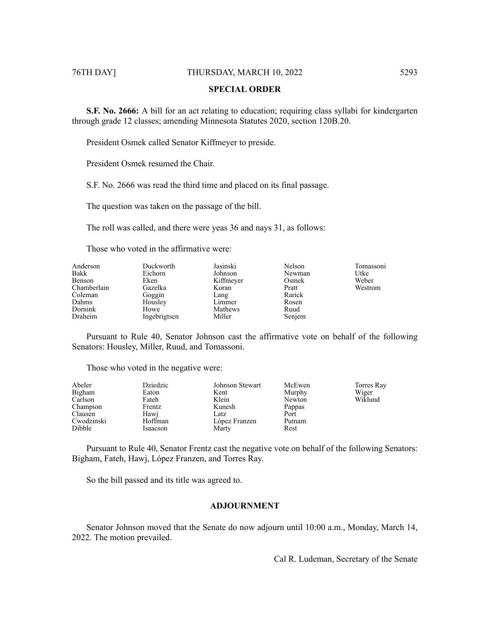# **SPECIAL ORDER**

**S.F. No. 2666:** A bill for an act relating to education; requiring class syllabi for kindergarten through grade 12 classes; amending Minnesota Statutes 2020, section 120B.20.

President Osmek called Senator Kiffmeyer to preside.

President Osmek resumed the Chair.

S.F. No. 2666 was read the third time and placed on its final passage.

The question was taken on the passage of the bill.

The roll was called, and there were yeas 36 and nays 31, as follows:

Those who voted in the affirmative were:

| Anderson    | Duckworth    | Jasinski  | Nelson | Tomassoni |
|-------------|--------------|-----------|--------|-----------|
| Bakk        | Eichorn      | Johnson   | Newman | Utke      |
| Benson      | Eken         | Kiffmeyer | Osmek  | Weber     |
| Chamberlain | Gazelka      | Koran     | Pratt  | Westrom   |
| Coleman     | Goggin       | Lang      | Rarick |           |
| Dahms       | Housley      | Limmer    | Rosen  |           |
| Dornink     | Howe         | Mathews   | Ruud   |           |
| Draheim     | Ingebrigtsen | Miller    | Senjem |           |

Pursuant to Rule 40, Senator Johnson cast the affirmative vote on behalf of the following Senators: Housley, Miller, Ruud, and Tomassoni.

Those who voted in the negative were:

| Abeler     | Dziedzic | Johnson Stewart | McEwen | Torres Ray |
|------------|----------|-----------------|--------|------------|
| Bigham     | Eaton    | Kent            | Murphy | Wiger      |
| Carlson    | Fateh    | Klein           | Newton | Wiklund    |
| Champion   | Frentz   | Kunesh          | Pappas |            |
| Clausen    | Hawi     | Latz            | Port   |            |
| Cwodzinski | Hoffman  | López Franzen   | Putnam |            |
| Dibble     | Isaacson | Marty           | Rest   |            |

Pursuant to Rule 40, Senator Frentz cast the negative vote on behalf of the following Senators: Bigham, Fateh, Hawj, López Franzen, and Torres Ray.

So the bill passed and its title was agreed to.

# **ADJOURNMENT**

Senator Johnson moved that the Senate do now adjourn until 10:00 a.m., Monday, March 14, 2022. The motion prevailed.

Cal R. Ludeman, Secretary of the Senate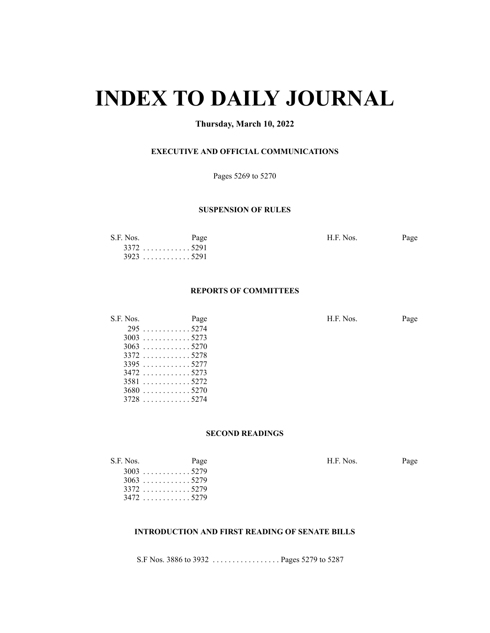# **INDEX TO DAILY JOURNAL**

# **Thursday, March 10, 2022**

# **EXECUTIVE AND OFFICIAL COMMUNICATIONS**

Pages 5269 to 5270

### **SUSPENSION OF RULES**

| S.F. Nos. | Page        | H.F. Nos. | Page |
|-----------|-------------|-----------|------|
|           | $3372$ 5291 |           |      |
|           | $3923$ 5291 |           |      |

# **REPORTS OF COMMITTEES**

| S.F. Nos. | Page        | H.F. Nos. | Page |
|-----------|-------------|-----------|------|
|           | $295$ 5274  |           |      |
|           | $3003$ 5273 |           |      |
|           | $3063$ 5270 |           |      |
|           | 33725278    |           |      |
|           | $3395$ 5277 |           |      |
|           | $3472$ 5273 |           |      |
|           | 35815272    |           |      |
|           | $3680$ 5270 |           |      |
|           | $3728$ 5274 |           |      |

# **SECOND READINGS**

| S.F. Nos. | Page        | H.F. Nos. | Page |
|-----------|-------------|-----------|------|
|           | $3003$ 5279 |           |      |
|           | $3063$ 5279 |           |      |
|           | $3372$ 5279 |           |      |
|           | $3472$ 5279 |           |      |

# **INTRODUCTION AND FIRST READING OF SENATE BILLS**

S.F Nos. 3886 to 3932 . . . . . . . . . . . . . . . . . Pages 5279 to 5287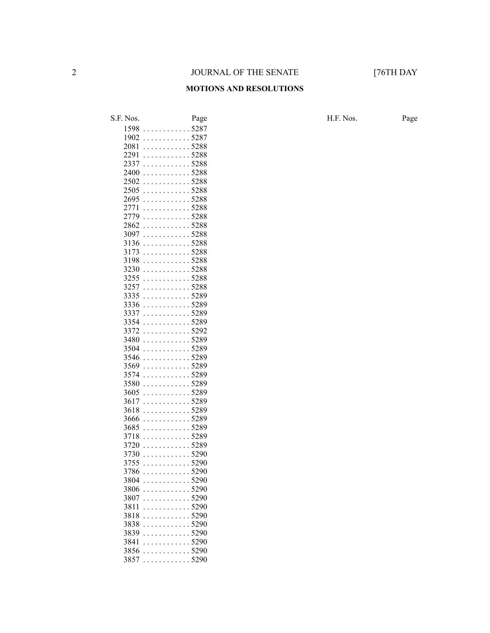#### **MOTIONS AND RESOLUTIONS**

S.F. Nos. Page Page Page H.F. Nos. Page . . . . . . . . . . . . 5287 . . . . . . . . . . . . 5287 . . . . . . . . . . . . 5288 . . . . . . . . . . . . 5288 . . . . . . . . . . . . 5288 . . . . . . . . . . . . 5288 . . . . . . . . . . . . 5288 . . . . . . . . . . . . 5288 . . . . . . . . . . . . 5288 . . . . . . . . . . . . 5288 . . . . . . . . . . . . 5288 . . . . . . . . . . . . 5288 . . . . . . . . . . . . 5288 . . . . . . . . . . . . 5288 . . . . . . . . . . . . 5288 . . . . . . . . . . . . 5288 . . . . . . . . . . . . 5288 . . . . . . . . . . . . 5288 . . . . . . . . . . . . 5288 . . . . . . . . . . . . 5289 . . . . . . . . . . . . 5289 . . . . . . . . . . . . 5289 . . . . . . . . . . . . 5289 . . . . . . . . . . . . 5292 . . . . . . . . . . . . 5289 . . . . . . . . . . . . 5289 . . . . . . . . . . . . 5289 . . . . . . . . . . . . 5289 . . . . . . . . . . . . 5289 . . . . . . . . . . . . 5289 . . . . . . . . . . . . 5289 . . . . . . . . . . . . 5289 . . . . . . . . . . . . 5289 . . . . . . . . . . . . 5289 . . . . . . . . . . . . 5289 . . . . . . . . . . . . 5289 . . . . . . . . . . . . 5289 . . . . . . . . . . . . 5290 . . . . . . . . . . . . 5290 . . . . . . . . . . . . 5290 . . . . . . . . . . . . 5290 . . . . . . . . . . . . 5290 . . . . . . . . . . . . 5290 . . . . . . . . . . . . 5290 . . . . . . . . . . . . 5290 . . . . . . . . . . . . 5290 . . . . . . . . . . . . 5290 . . . . . . . . . . . . 5290 . . . . . . . . . . . . 5290 . . . . . . . . . . . . 5290